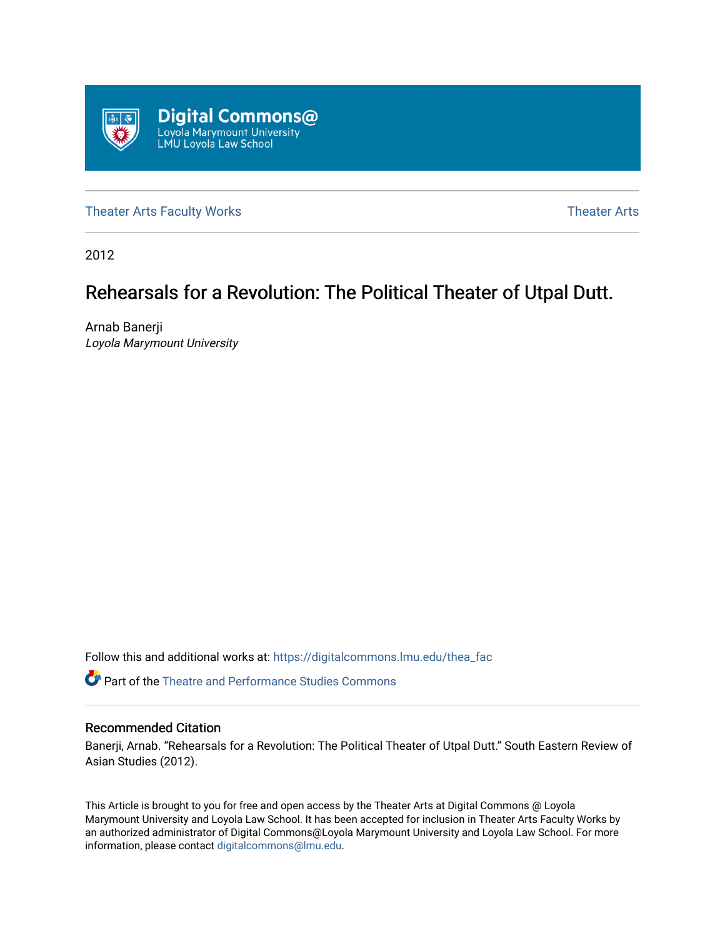

[Theater Arts Faculty Works](https://digitalcommons.lmu.edu/thea_fac) [Theater Arts](https://digitalcommons.lmu.edu/thea) Theater Arts

2012

# Rehearsals for a Revolution: The Political Theater of Utpal Dutt.

Arnab Banerji Loyola Marymount University

Follow this and additional works at: [https://digitalcommons.lmu.edu/thea\\_fac](https://digitalcommons.lmu.edu/thea_fac?utm_source=digitalcommons.lmu.edu%2Fthea_fac%2F1&utm_medium=PDF&utm_campaign=PDFCoverPages) 

**C** Part of the Theatre and Performance Studies Commons

#### Recommended Citation

Banerji, Arnab. "Rehearsals for a Revolution: The Political Theater of Utpal Dutt." South Eastern Review of Asian Studies (2012).

This Article is brought to you for free and open access by the Theater Arts at Digital Commons @ Loyola Marymount University and Loyola Law School. It has been accepted for inclusion in Theater Arts Faculty Works by an authorized administrator of Digital Commons@Loyola Marymount University and Loyola Law School. For more information, please contact [digitalcommons@lmu.edu.](mailto:digitalcommons@lmu.edu)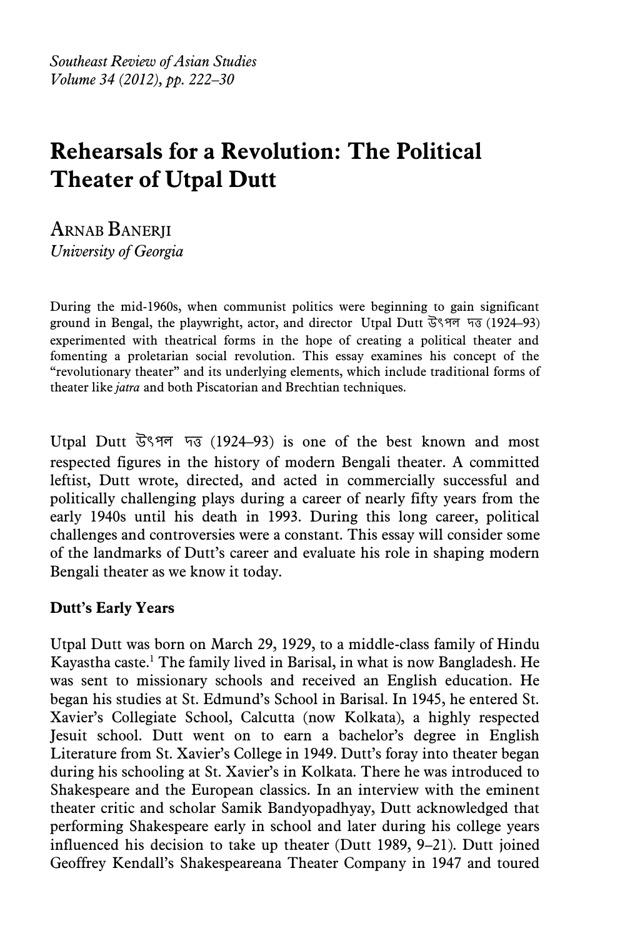*Southeast Review of Asian Studies Volume 34 (2012), pp. 222–30*

# **Rehearsals for a Revolution: The Political Theater of Utpal Dutt**

ARNAB BANERJI *University of Georgia* 

During the mid-1960s, when communist politics were beginning to gain significant ground in Bengal, the playwright, actor, and director Utpal Dutt উৎপল দত্ত (1924–93) experimented with theatrical forms in the hope of creating a political theater and fomenting a proletarian social revolution. This essay examines his concept of the "revolutionary theater" and its underlying elements, which include traditional forms of theater like *jatra* and both Piscatorian and Brechtian techniques.

Utpal Dutt উৎপল দত্ত (1924–93) is one of the best known and most respected figures in the history of modern Bengali theater. A committed leftist, Dutt wrote, directed, and acted in commercially successful and politically challenging plays during a career of nearly fifty years from the early 1940s until his death in 1993. During this long career, political challenges and controversies were a constant. This essay will consider some of the landmarks of Dutt's career and evaluate his role in shaping modern Bengali theater as we know it today.

# **Dutt's Early Years**

Utpal Dutt was born on March 29, 1929, to a middle-class family of Hindu Kayastha caste.<sup>1</sup> The family lived in Barisal, in what is now Bangladesh. He was sent to missionary schools and received an English education. He began his studies at St. Edmund's School in Barisal. In 1945, he entered St. Xavier's Collegiate School, Calcutta (now Kolkata), a highly respected Jesuit school. Dutt went on to earn a bachelor's degree in English Literature from St. Xavier's College in 1949. Dutt's foray into theater began during his schooling at St. Xavier's in Kolkata. There he was introduced to Shakespeare and the European classics. In an interview with the eminent theater critic and scholar Samik Bandyopadhyay, Dutt acknowledged that performing Shakespeare early in school and later during his college years influenced his decision to take up theater (Dutt 1989, 9–21). Dutt joined Geoffrey Kendall's Shakespeareana Theater Company in 1947 and toured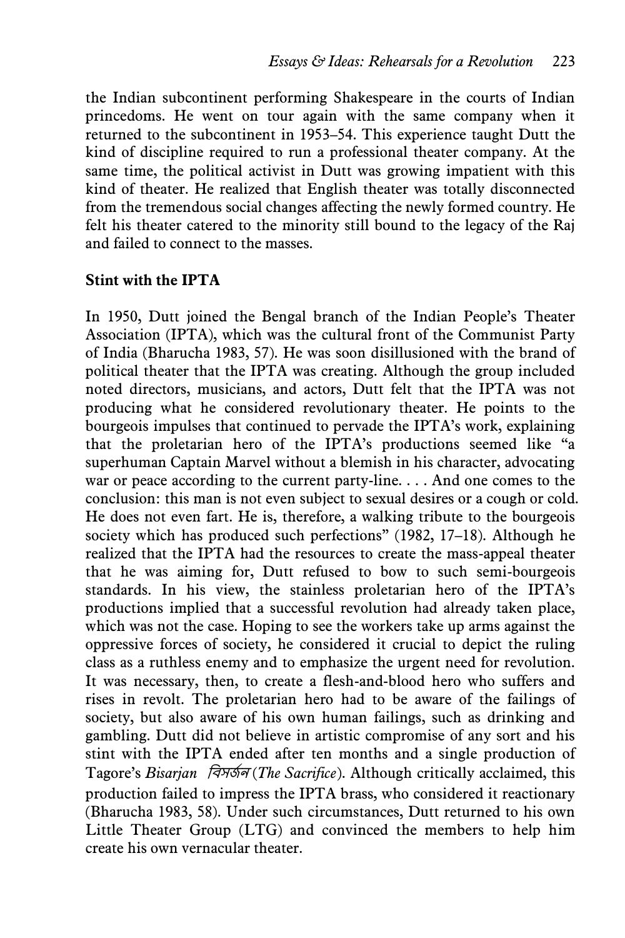the Indian subcontinent performing Shakespeare in the courts of Indian princedoms. He went on tour again with the same company when it returned to the subcontinent in 1953–54. This experience taught Dutt the kind of discipline required to run a professional theater company. At the same time, the political activist in Dutt was growing impatient with this kind of theater. He realized that English theater was totally disconnected from the tremendous social changes affecting the newly formed country. He felt his theater catered to the minority still bound to the legacy of the Raj and failed to connect to the masses.

## **Stint with the IPTA**

In 1950, Dutt joined the Bengal branch of the Indian People's Theater Association (IPTA), which was the cultural front of the Communist Party of India (Bharucha 1983, 57). He was soon disillusioned with the brand of political theater that the IPTA was creating. Although the group included noted directors, musicians, and actors, Dutt felt that the IPTA was not producing what he considered revolutionary theater. He points to the bourgeois impulses that continued to pervade the IPTA's work, explaining that the proletarian hero of the IPTA's productions seemed like "a superhuman Captain Marvel without a blemish in his character, advocating war or peace according to the current party-line. . . . And one comes to the conclusion: this man is not even subject to sexual desires or a cough or cold. He does not even fart. He is, therefore, a walking tribute to the bourgeois society which has produced such perfections" (1982, 17–18). Although he realized that the IPTA had the resources to create the mass-appeal theater that he was aiming for, Dutt refused to bow to such semi-bourgeois standards. In his view, the stainless proletarian hero of the IPTA's productions implied that a successful revolution had already taken place, which was not the case. Hoping to see the workers take up arms against the oppressive forces of society, he considered it crucial to depict the ruling class as a ruthless enemy and to emphasize the urgent need for revolution. It was necessary, then, to create a flesh-and-blood hero who suffers and rises in revolt. The proletarian hero had to be aware of the failings of society, but also aware of his own human failings, such as drinking and gambling. Dutt did not believe in artistic compromise of any sort and his stint with the IPTA ended after ten months and a single production of Tagore's *Bisarian বিসর্জন (The Sacrifice)*. Although critically acclaimed, this production failed to impress the IPTA brass, who considered it reactionary (Bharucha 1983, 58). Under such circumstances, Dutt returned to his own Little Theater Group (LTG) and convinced the members to help him create his own vernacular theater.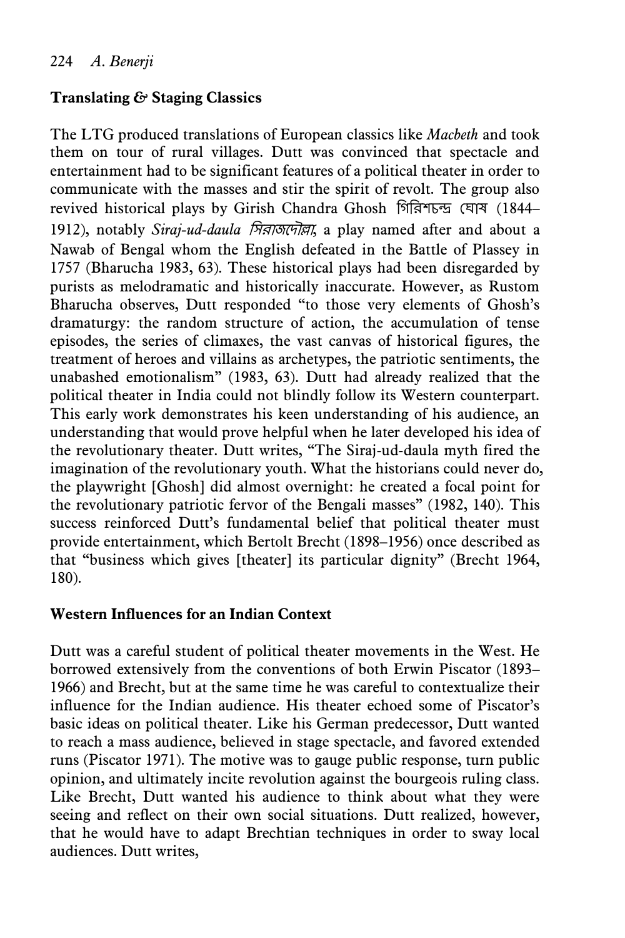# **Translating** *&* **Staging Classics**

The LTG produced translations of European classics like *Macbeth* and took them on tour of rural villages. Dutt was convinced that spectacle and entertainment had to be significant features of a political theater in order to communicate with the masses and stir the spirit of revolt. The group also revived historical plays by Girish Chandra Ghosh গিরিশচন্দ্র ঘোষ (1844– 1912), notably *Siraj-ud-daula* বসিোর্দদৌল্লো, a play named after and about a Nawab of Bengal whom the English defeated in the Battle of Plassey in 1757 (Bharucha 1983, 63). These historical plays had been disregarded by purists as melodramatic and historically inaccurate. However, as Rustom Bharucha observes, Dutt responded "to those very elements of Ghosh's dramaturgy: the random structure of action, the accumulation of tense episodes, the series of climaxes, the vast canvas of historical figures, the treatment of heroes and villains as archetypes, the patriotic sentiments, the unabashed emotionalism" (1983, 63). Dutt had already realized that the political theater in India could not blindly follow its Western counterpart. This early work demonstrates his keen understanding of his audience, an understanding that would prove helpful when he later developed his idea of the revolutionary theater. Dutt writes, "The Siraj-ud-daula myth fired the imagination of the revolutionary youth. What the historians could never do, the playwright [Ghosh] did almost overnight: he created a focal point for the revolutionary patriotic fervor of the Bengali masses" (1982, 140). This success reinforced Dutt's fundamental belief that political theater must provide entertainment, which Bertolt Brecht (1898–1956) once described as that "business which gives [theater] its particular dignity" (Brecht 1964, 180).

## **Western Influences for an Indian Context**

Dutt was a careful student of political theater movements in the West. He borrowed extensively from the conventions of both Erwin Piscator (1893– 1966) and Brecht, but at the same time he was careful to contextualize their influence for the Indian audience. His theater echoed some of Piscator's basic ideas on political theater. Like his German predecessor, Dutt wanted to reach a mass audience, believed in stage spectacle, and favored extended runs (Piscator 1971). The motive was to gauge public response, turn public opinion, and ultimately incite revolution against the bourgeois ruling class. Like Brecht, Dutt wanted his audience to think about what they were seeing and reflect on their own social situations. Dutt realized, however, that he would have to adapt Brechtian techniques in order to sway local audiences. Dutt writes,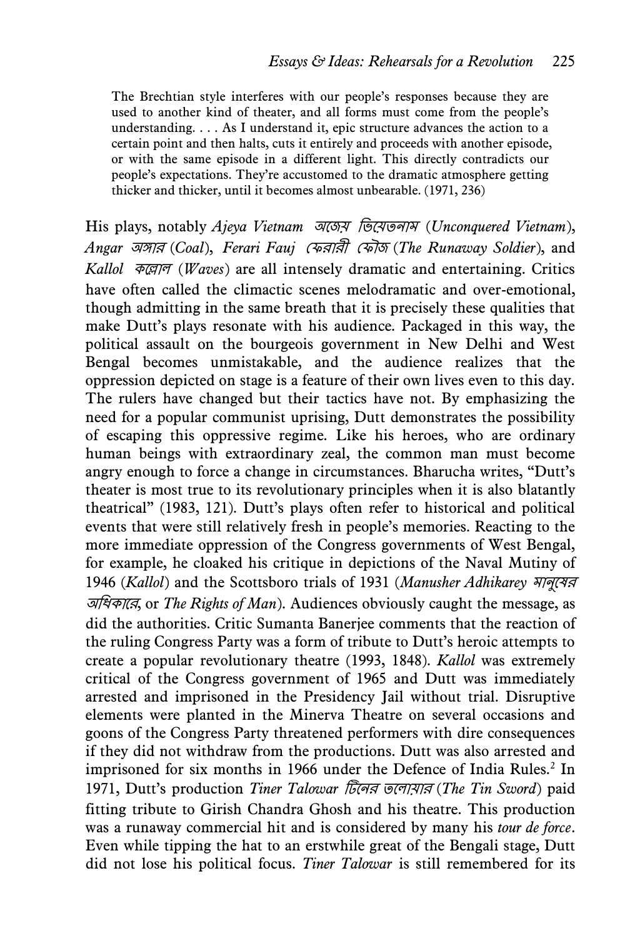The Brechtian style interferes with our people's responses because they are used to another kind of theater, and all forms must come from the people's understanding. . . . As I understand it, epic structure advances the action to a certain point and then halts, cuts it entirely and proceeds with another episode, or with the same episode in a different light. This directly contradicts our people's expectations. They're accustomed to the dramatic atmosphere getting thicker and thicker, until it becomes almost unbearable. (1971, 236)

His plays, notably *Ajeya Vietnam* অদর্য় বিদয়তনোম (*Unconquered Vietnam*), *Angar* অঙ্গোি (*Coal*), *Ferari Fauj* ঘেিোিী ঘেৌর্ (*The Runaway Soldier*), and *Kallol* কদল্লোল (*Waves*) are all intensely dramatic and entertaining. Critics have often called the climactic scenes melodramatic and over-emotional, though admitting in the same breath that it is precisely these qualities that make Dutt's plays resonate with his audience. Packaged in this way, the political assault on the bourgeois government in New Delhi and West Bengal becomes unmistakable, and the audience realizes that the oppression depicted on stage is a feature of their own lives even to this day. The rulers have changed but their tactics have not. By emphasizing the need for a popular communist uprising, Dutt demonstrates the possibility of escaping this oppressive regime. Like his heroes, who are ordinary human beings with extraordinary zeal, the common man must become angry enough to force a change in circumstances. Bharucha writes, "Dutt's theater is most true to its revolutionary principles when it is also blatantly theatrical" (1983, 121). Dutt's plays often refer to historical and political events that were still relatively fresh in people's memories. Reacting to the more immediate oppression of the Congress governments of West Bengal, for example, he cloaked his critique in depictions of the Naval Mutiny of 1946 (*Kallol*) and the Scottsboro trials of 1931 (*Manusher Adhikarey* মোনুদষি অবিকোদি, or *The Rights of Man*). Audiences obviously caught the message, as did the authorities. Critic Sumanta Banerjee comments that the reaction of the ruling Congress Party was a form of tribute to Dutt's heroic attempts to create a popular revolutionary theatre (1993, 1848). *Kallol* was extremely critical of the Congress government of 1965 and Dutt was immediately arrested and imprisoned in the Presidency Jail without trial. Disruptive elements were planted in the Minerva Theatre on several occasions and goons of the Congress Party threatened performers with dire consequences if they did not withdraw from the productions. Dutt was also arrested and imprisoned for six months in 1966 under the Defence of India Rules.<sup>2</sup> In 1971, Dutt's production *Tiner Talowar* টিদনি তদলোয়োি (*The Tin Sword*) paid fitting tribute to Girish Chandra Ghosh and his theatre. This production was a runaway commercial hit and is considered by many his *tour de force*. Even while tipping the hat to an erstwhile great of the Bengali stage, Dutt did not lose his political focus. *Tiner Talowar* is still remembered for its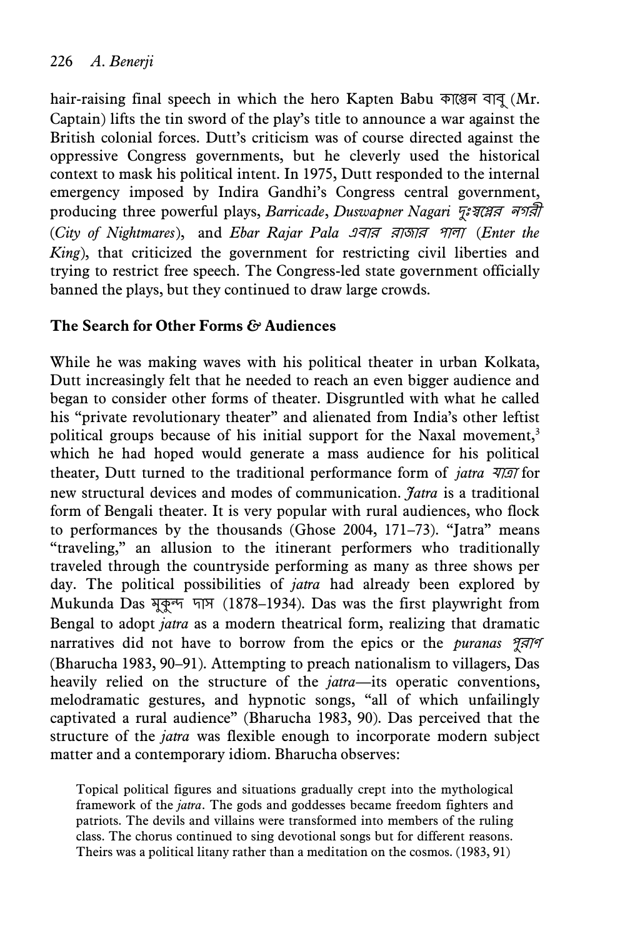hair-raising final speech in which the hero Kapten Babu কাপ্তেন বাব (Mr. Captain) lifts the tin sword of the play's title to announce a war against the British colonial forces. Dutt's criticism was of course directed against the oppressive Congress governments, but he cleverly used the historical context to mask his political intent. In 1975, Dutt responded to the internal emergency imposed by Indira Gandhi's Congress central government, producing three powerful plays, *Barricade*, *Duswapner Nagari দুঃস্বপ্লের নগরী* (*City of Nightmares*), and *Ebar Rajar Pala* এিোি িোর্োি পোলো (*Enter the King*), that criticized the government for restricting civil liberties and trying to restrict free speech. The Congress-led state government officially banned the plays, but they continued to draw large crowds.

# **The Search for Other Forms** *&* **Audiences**

While he was making waves with his political theater in urban Kolkata, Dutt increasingly felt that he needed to reach an even bigger audience and began to consider other forms of theater. Disgruntled with what he called his "private revolutionary theater" and alienated from India's other leftist political groups because of his initial support for the Naxal movement,<sup>3</sup> which he had hoped would generate a mass audience for his political theater, Dutt turned to the traditional performance form of *jatra* যোত্রো for new structural devices and modes of communication. *Jatra* is a traditional form of Bengali theater. It is very popular with rural audiences, who flock to performances by the thousands (Ghose 2004, 171–73). "Jatra" means "traveling," an allusion to the itinerant performers who traditionally traveled through the countryside performing as many as three shows per day. The political possibilities of *jatra* had already been explored by Mukunda Das মুকুন্দ দোস (1878–1934). Das was the first playwright from Bengal to adopt *jatra* as a modern theatrical form, realizing that dramatic narratives did not have to borrow from the epics or the *puranas পুরাণ* (Bharucha 1983, 90–91). Attempting to preach nationalism to villagers, Das heavily relied on the structure of the *jatra*—its operatic conventions, melodramatic gestures, and hypnotic songs, "all of which unfailingly captivated a rural audience" (Bharucha 1983, 90). Das perceived that the structure of the *jatra* was flexible enough to incorporate modern subject matter and a contemporary idiom. Bharucha observes:

Topical political figures and situations gradually crept into the mythological framework of the *jatra*. The gods and goddesses became freedom fighters and patriots. The devils and villains were transformed into members of the ruling class. The chorus continued to sing devotional songs but for different reasons. Theirs was a political litany rather than a meditation on the cosmos. (1983, 91)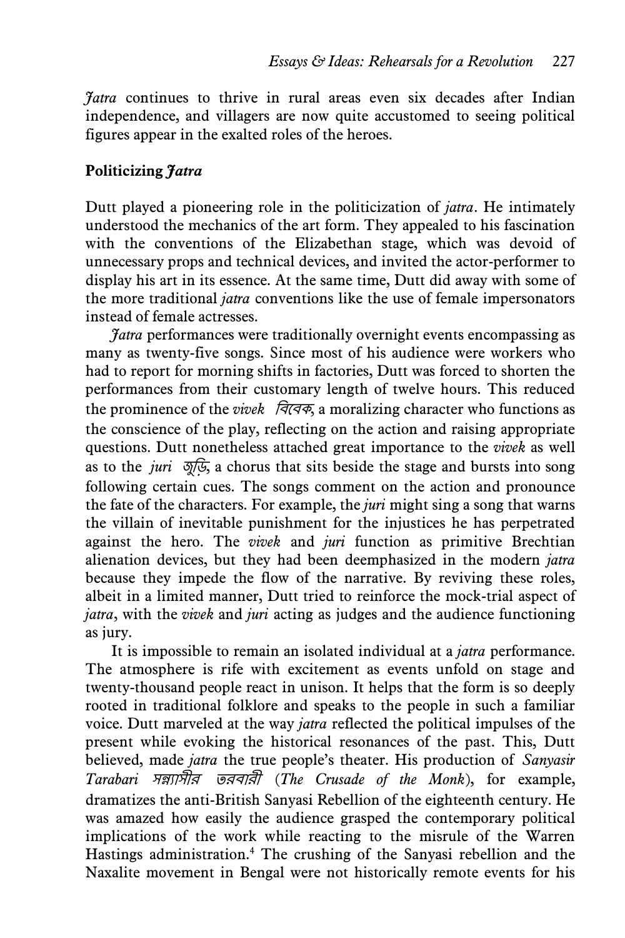*Jatra* continues to thrive in rural areas even six decades after Indian independence, and villagers are now quite accustomed to seeing political figures appear in the exalted roles of the heroes.

## **Politicizing** *Jatra*

Dutt played a pioneering role in the politicization of *jatra*. He intimately understood the mechanics of the art form. They appealed to his fascination with the conventions of the Elizabethan stage, which was devoid of unnecessary props and technical devices, and invited the actor-performer to display his art in its essence. At the same time, Dutt did away with some of the more traditional *jatra* conventions like the use of female impersonators instead of female actresses.

*Jatra* performances were traditionally overnight events encompassing as many as twenty-five songs. Since most of his audience were workers who had to report for morning shifts in factories, Dutt was forced to shorten the performances from their customary length of twelve hours. This reduced the prominence of the *vivek* বিদিক, a moralizing character who functions as the conscience of the play, reflecting on the action and raising appropriate questions. Dutt nonetheless attached great importance to the *vivek* as well as to the *juri* র্ুবি, a chorus that sits beside the stage and bursts into song following certain cues. The songs comment on the action and pronounce the fate of the characters. For example, the *juri* might sing a song that warns the villain of inevitable punishment for the injustices he has perpetrated against the hero. The *vivek* and *juri* function as primitive Brechtian alienation devices, but they had been deemphasized in the modern *jatra* because they impede the flow of the narrative. By reviving these roles, albeit in a limited manner, Dutt tried to reinforce the mock-trial aspect of *jatra*, with the *vivek* and *juri* acting as judges and the audience functioning as jury.

It is impossible to remain an isolated individual at a *jatra* performance. The atmosphere is rife with excitement as events unfold on stage and twenty-thousand people react in unison. It helps that the form is so deeply rooted in traditional folklore and speaks to the people in such a familiar voice. Dutt marveled at the way *jatra* reflected the political impulses of the present while evoking the historical resonances of the past. This, Dutt believed, made *jatra* the true people's theater. His production of *Sanyasir Tarabari* সন্ন্যোসীি তিিোিী (*The Crusade of the Monk*), for example, dramatizes the anti-British Sanyasi Rebellion of the eighteenth century. He was amazed how easily the audience grasped the contemporary political implications of the work while reacting to the misrule of the Warren Hastings administration.<sup>4</sup> The crushing of the Sanyasi rebellion and the Naxalite movement in Bengal were not historically remote events for his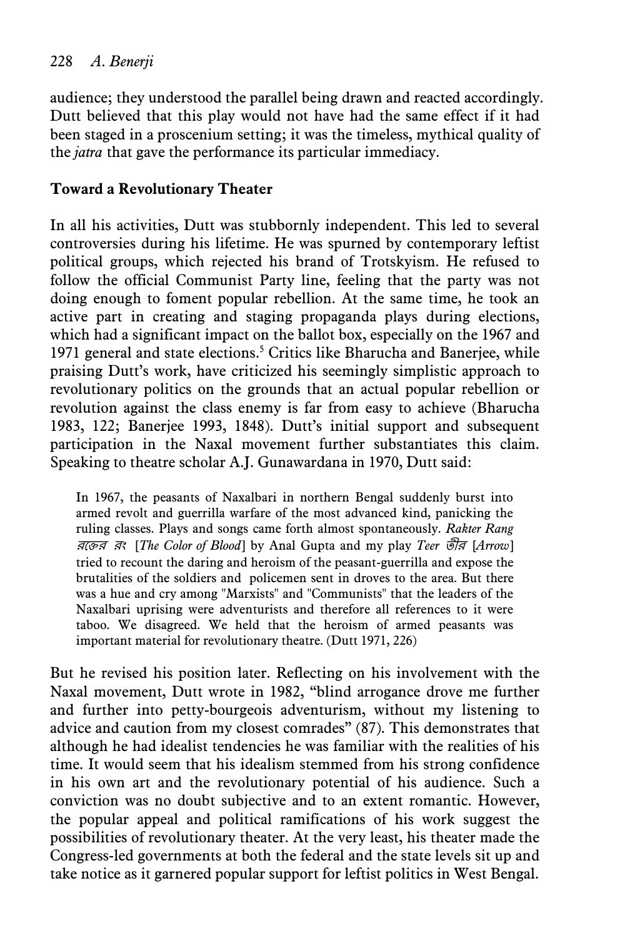# 228 *A. Benerji*

audience; they understood the parallel being drawn and reacted accordingly. Dutt believed that this play would not have had the same effect if it had been staged in a proscenium setting; it was the timeless, mythical quality of the *jatra* that gave the performance its particular immediacy.

## **Toward a Revolutionary Theater**

In all his activities, Dutt was stubbornly independent. This led to several controversies during his lifetime. He was spurned by contemporary leftist political groups, which rejected his brand of Trotskyism. He refused to follow the official Communist Party line, feeling that the party was not doing enough to foment popular rebellion. At the same time, he took an active part in creating and staging propaganda plays during elections, which had a significant impact on the ballot box, especially on the 1967 and 1971 general and state elections.<sup>5</sup> Critics like Bharucha and Banerjee, while praising Dutt's work, have criticized his seemingly simplistic approach to revolutionary politics on the grounds that an actual popular rebellion or revolution against the class enemy is far from easy to achieve (Bharucha 1983, 122; Banerjee 1993, 1848). Dutt's initial support and subsequent participation in the Naxal movement further substantiates this claim. Speaking to theatre scholar A.J. Gunawardana in 1970, Dutt said:

In 1967, the peasants of Naxalbari in northern Bengal suddenly burst into armed revolt and guerrilla warfare of the most advanced kind, panicking the ruling classes. Plays and songs came forth almost spontaneously. *Rakter Rang* িদেি িং [*The Color of Blood*] by Anal Gupta and my play *Teer* তীি [*Arrow*] tried to recount the daring and heroism of the peasant-guerrilla and expose the brutalities of the soldiers and policemen sent in droves to the area. But there was a hue and cry among "Marxists" and "Communists" that the leaders of the Naxalbari uprising were adventurists and therefore all references to it were taboo. We disagreed. We held that the heroism of armed peasants was important material for revolutionary theatre. (Dutt 1971, 226)

But he revised his position later. Reflecting on his involvement with the Naxal movement, Dutt wrote in 1982, "blind arrogance drove me further and further into petty-bourgeois adventurism, without my listening to advice and caution from my closest comrades" (87). This demonstrates that although he had idealist tendencies he was familiar with the realities of his time. It would seem that his idealism stemmed from his strong confidence in his own art and the revolutionary potential of his audience. Such a conviction was no doubt subjective and to an extent romantic. However, the popular appeal and political ramifications of his work suggest the possibilities of revolutionary theater. At the very least, his theater made the Congress-led governments at both the federal and the state levels sit up and take notice as it garnered popular support for leftist politics in West Bengal.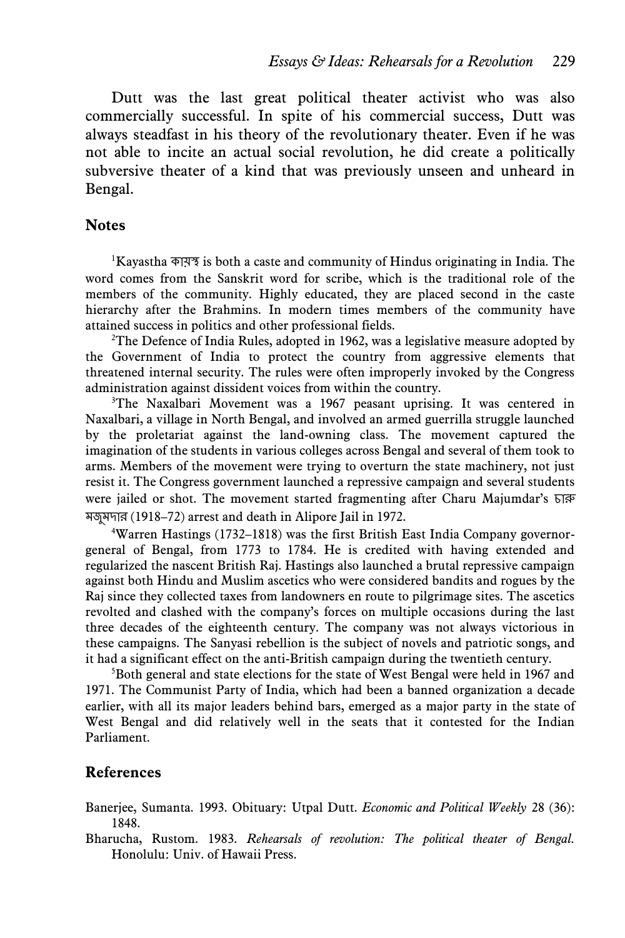Dutt was the last great political theater activist who was also commercially successful. In spite of his commercial success, Dutt was always steadfast in his theory of the revolutionary theater. Even if he was not able to incite an actual social revolution, he did create a politically subversive theater of a kind that was previously unseen and unheard in Bengal.

#### **Notes**

 ${}^{1}$ Kayastha কায়স্থ is both a caste and community of Hindus originating in India. The word comes from the Sanskrit word for scribe, which is the traditional role of the members of the community. Highly educated, they are placed second in the caste hierarchy after the Brahmins. In modern times members of the community have attained success in politics and other professional fields.

<sup>2</sup>The Defence of India Rules, adopted in 1962, was a legislative measure adopted by the Government of India to protect the country from aggressive elements that threatened internal security. The rules were often improperly invoked by the Congress administration against dissident voices from within the country.

<sup>3</sup>The Naxalbari Movement was a 1967 peasant uprising. It was centered in Naxalbari, a village in North Bengal, and involved an armed guerrilla struggle launched by the proletariat against the land-owning class. The movement captured the imagination of the students in various colleges across Bengal and several of them took to arms. Members of the movement were trying to overturn the state machinery, not just resist it. The Congress government launched a repressive campaign and several students were jailed or shot. The movement started fragmenting after Charu Majumdar's চারু মজুমদার (1918–72) arrest and death in Alipore Jail in 1972.

4Warren Hastings (1732–1818) was the first British East India Company governorgeneral of Bengal, from 1773 to 1784. He is credited with having extended and regularized the nascent British Raj. Hastings also launched a brutal repressive campaign against both Hindu and Muslim ascetics who were considered bandits and rogues by the Raj since they collected taxes from landowners en route to pilgrimage sites. The ascetics revolted and clashed with the company's forces on multiple occasions during the last three decades of the eighteenth century. The company was not always victorious in these campaigns. The Sanyasi rebellion is the subject of novels and patriotic songs, and it had a significant effect on the anti-British campaign during the twentieth century.

<sup>5</sup>Both general and state elections for the state of West Bengal were held in 1967 and 1971. The Communist Party of India, which had been a banned organization a decade earlier, with all its major leaders behind bars, emerged as a major party in the state of West Bengal and did relatively well in the seats that it contested for the Indian Parliament.

#### **References**

Banerjee, Sumanta. 1993. Obituary: Utpal Dutt. *Economic and Political Weekly* 28 (36): 1848.

Bharucha, Rustom. 1983. *Rehearsals of revolution: The political theater of Bengal.*  Honolulu: Univ. of Hawaii Press.